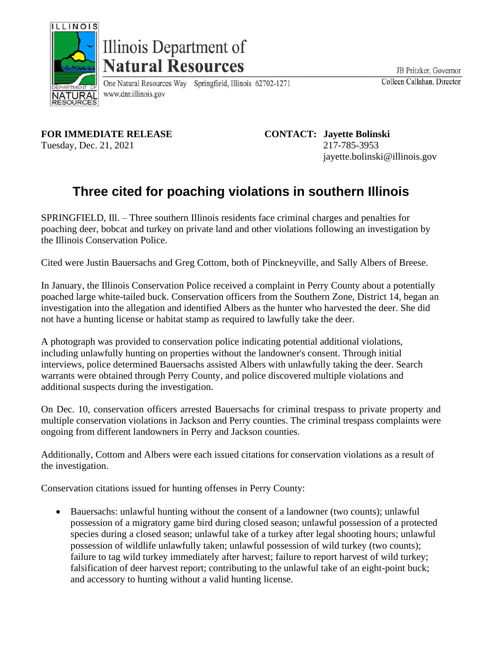

Illinois Department of **Natural Resources** 

One Natural Resources Way Springfield, Illinois 62702-1271 www.dnr.illinois.gov

JB Pritzker, Governor Colleen Callahan, Director

**FOR IMMEDIATE RELEASE CONTACT: Jayette Bolinski** Tuesday, Dec. 21, 2021 217-785-3953

jayette.bolinski@illinois.gov

## **Three cited for poaching violations in southern Illinois**

SPRINGFIELD, Ill. – Three southern Illinois residents face criminal charges and penalties for poaching deer, bobcat and turkey on private land and other violations following an investigation by the Illinois Conservation Police.

Cited were Justin Bauersachs and Greg Cottom, both of Pinckneyville, and Sally Albers of Breese.

In January, the Illinois Conservation Police received a complaint in Perry County about a potentially poached large white-tailed buck. Conservation officers from the Southern Zone, District 14, began an investigation into the allegation and identified Albers as the hunter who harvested the deer. She did not have a hunting license or habitat stamp as required to lawfully take the deer.

A photograph was provided to conservation police indicating potential additional violations, including unlawfully hunting on properties without the landowner's consent. Through initial interviews, police determined Bauersachs assisted Albers with unlawfully taking the deer. Search warrants were obtained through Perry County, and police discovered multiple violations and additional suspects during the investigation.

On Dec. 10, conservation officers arrested Bauersachs for criminal trespass to private property and multiple conservation violations in Jackson and Perry counties. The criminal trespass complaints were ongoing from different landowners in Perry and Jackson counties.

Additionally, Cottom and Albers were each issued citations for conservation violations as a result of the investigation.

Conservation citations issued for hunting offenses in Perry County:

• Bauersachs: unlawful hunting without the consent of a landowner (two counts); unlawful possession of a migratory game bird during closed season; unlawful possession of a protected species during a closed season; unlawful take of a turkey after legal shooting hours; unlawful possession of wildlife unlawfully taken; unlawful possession of wild turkey (two counts); failure to tag wild turkey immediately after harvest; failure to report harvest of wild turkey; falsification of deer harvest report; contributing to the unlawful take of an eight-point buck; and accessory to hunting without a valid hunting license.